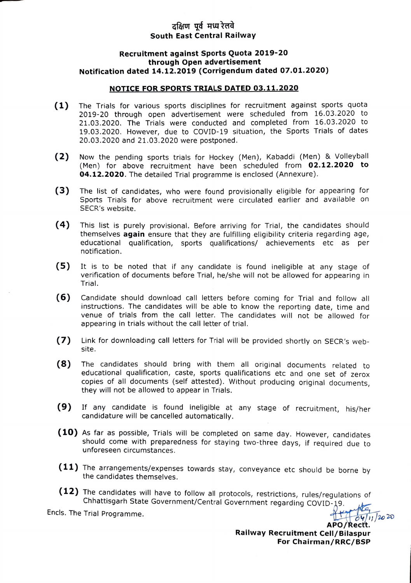## दक्षिण पूर्व मध्य रेलवे South East Central Railway

## Recruitment against Sports Quota 2019-20 through Open advertisement Notification dated 14.12.2019 (Corrigendum dated 07.01.2020)

## NOTICE FOR SPORTS TRIALS DATED 03.11.2020

- (1) The Trials for various sports disciplines for recruitment against sports quota 2019-20 through open advertisement were scheduled from 16.03.2020 to 21.03.2020. The Trials were conducted and completed from 16.03.2020 to 19.03.2020. However, due to cOVID-19 situation, the Sports Trials of dates 20.03.2020 and 21.03.2020 were postponed.
- (2) Now the pending sports trials for Hockey (Men), Kabaddi (Men) & Volleyball (Men) for above recruitment have been scheduled from 02.12.2020 to 04.12.2020. The detailed Trial programme is enclosed (Annexure).
- (3) The list of candidates, who were found provisionally eligible for appearing for Sports Trials for above recruitment were circulated earlier and available on SECR'S website.
- (4) This list is purely provisional. Before arriving for Trial, the candidates should themselves again ensure that they are fulfilling eligibility criteria regarding age, educational qualification, sports qualifications/ achievements etc as per notification.
- (5) It is to be noted that if any candidate is found ineligible at any stage of verification of documents before Trial, he/she will not be allowed for appearing in Trial.
- (6) Candidate should download call letters before coming for Trial and follow all instructions. The candidates will be able to know the reporting date, time and venue of trials from the call letter. The candidates will not be allowed for appearing in trials without the call letter of trial.
- (7) Link for downloading call letters for Trial will be provided shortly on SECR's website.
- (8) The candidates should bring with them all original documents related to educational qualification, caste, sports qualifications etc and one set of zerox copies of all documents (self attested). Without producing original documents, they will not be allowed to appear in Trials
- (9) If any candidate is found ineligible at any stage of recruitment, his/her candidature will be cancelled automatically.
- (10) As far as possible, Trials will be completed on same day. However, candidates should come with preparedness for staying two-three days, if required due to unforeseen circumstances
- (11) The arrangements/expenses towards stay, conveyance etc should be borne by the candidates themselves.
- (12) The candidates will have to follow all protocols, restrictions, rules/regulations of<br>
Chhattisgarh State Government/Central Government regarding COVID-19.<br>
Encls. The Trial Programme.<br>
APO/Rectt. Chhattisgarh State Government/Central Government regarding COVID-19.

 $APO/Rectt.$ Railway Recruitment Cell/Bilaspur For Chairman/RRC/BSP